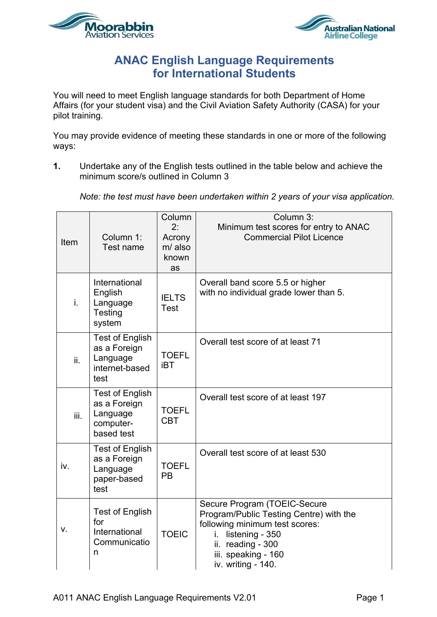



## **ANAC English Language Requirements for International Students**

You will need to meet English language standards for both Department of Home Affairs (for your student visa) and the Civil Aviation Safety Authority (CASA) for your pilot training.

You may provide evidence of meeting these standards in one or more of the following ways:

**1.** Undertake any of the English tests outlined in the table below and achieve the minimum score/s outlined in Column 3

*Note: the test must have been undertaken within 2 years of your visa application.*

| <b>Item</b> | Column 1:<br>Test name                                                        | Column<br>2:<br>Acrony<br>m/ also<br>known<br>as | Column 3:<br>Minimum test scores for entry to ANAC<br><b>Commercial Pilot Licence</b>                                                                                                                |
|-------------|-------------------------------------------------------------------------------|--------------------------------------------------|------------------------------------------------------------------------------------------------------------------------------------------------------------------------------------------------------|
| i.          | International<br>English<br>Language<br>Testing<br>system                     | <b>IELTS</b><br><b>Test</b>                      | Overall band score 5.5 or higher<br>with no individual grade lower than 5.                                                                                                                           |
| ii.         | <b>Test of English</b><br>as a Foreign<br>Language<br>internet-based<br>test  | <b>TOEFL</b><br><b>iBT</b>                       | Overall test score of at least 71                                                                                                                                                                    |
| iii.        | <b>Test of English</b><br>as a Foreign<br>Language<br>computer-<br>based test | <b>TOEFL</b><br><b>CBT</b>                       | Overall test score of at least 197                                                                                                                                                                   |
| iv.         | <b>Test of English</b><br>as a Foreign<br>Language<br>paper-based<br>test     | <b>TOEFL</b><br><b>PB</b>                        | Overall test score of at least 530                                                                                                                                                                   |
| ν.          | <b>Test of English</b><br>for<br>International<br>Communicatio<br>n           | <b>TOEIC</b>                                     | Secure Program (TOEIC-Secure<br>Program/Public Testing Centre) with the<br>following minimum test scores:<br>listening - 350<br>i.<br>ii. reading - 300<br>iii. speaking - 160<br>iv. writing - 140. |